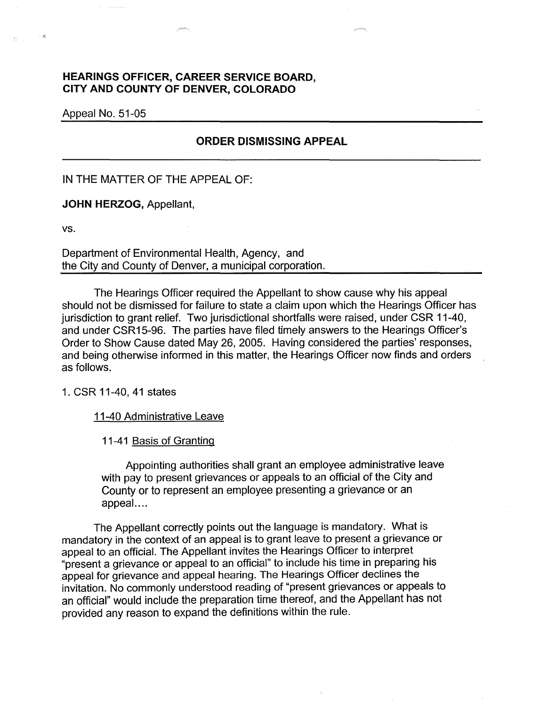## **HEARINGS OFFICER, CAREER SERVICE BOARD, CITY AND COUNTY OF DENVER, COLORADO**

Appeal No. 51-05

## **ORDER DISMISSING APPEAL**

IN THE MATTER OF THE APPEAL OF:

**JOHN HERZOG,** Appellant,

vs.

Department of Environmental Health, Agency, and the City and County of Denver, a municipal corporation.

The Hearings Officer required the Appellant to show cause why his appeal should not be dismissed for failure to state a claim upon which the Hearings Officer has jurisdiction to grant relief. Two jurisdictional shortfalls were raised, under CSR 11-40, and under CSR15-96. The parties have filed timely answers to the Hearings Officer's Order to Show Cause dated May 26, 2005. Having considered the parties' responses, and being otherwise informed in this matter, the Hearings Officer now finds and orders as follows.

1. CSR 11-40, 41 states

11-40 Administrative Leave

11-41 Basis of Granting

Appointing authorities shall grant an employee administrative leave with pay to present grievances or appeals to an official of the City and County or to represent an employee presenting a grievance or an appeal....

The Appellant correctly points out the language is mandatory. What is mandatory in the context of an appeal is to grant leave to present a grievance or appeal to an official. The Appellant invites the Hearings Officer to interpret "present a grievance or appeal to an official" to include his time in preparing his appeal for grievance and appeal hearing. The Hearings Officer declines the invitation. No commonly understood reading of "present grievances or appeals to an official" would include the preparation time thereof, and the Appellant has not provided any reason to expand the definitions within the rule.